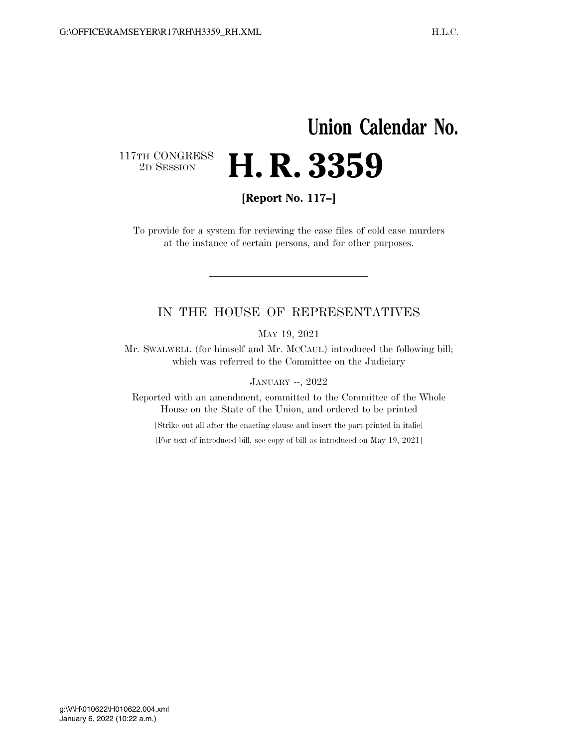# **Union Calendar No.**  117TH CONGRESS<br>2D SESSION 2D SESSION **H. R. 3359**

**[Report No. 117–]** 

To provide for a system for reviewing the case files of cold case murders at the instance of certain persons, and for other purposes.

### IN THE HOUSE OF REPRESENTATIVES

MAY 19, 2021

Mr. SWALWELL (for himself and Mr. MCCAUL) introduced the following bill; which was referred to the Committee on the Judiciary

JANUARY --, 2022

Reported with an amendment, committed to the Committee of the Whole House on the State of the Union, and ordered to be printed

[Strike out all after the enacting clause and insert the part printed in italic]

[For text of introduced bill, see copy of bill as introduced on May 19, 2021]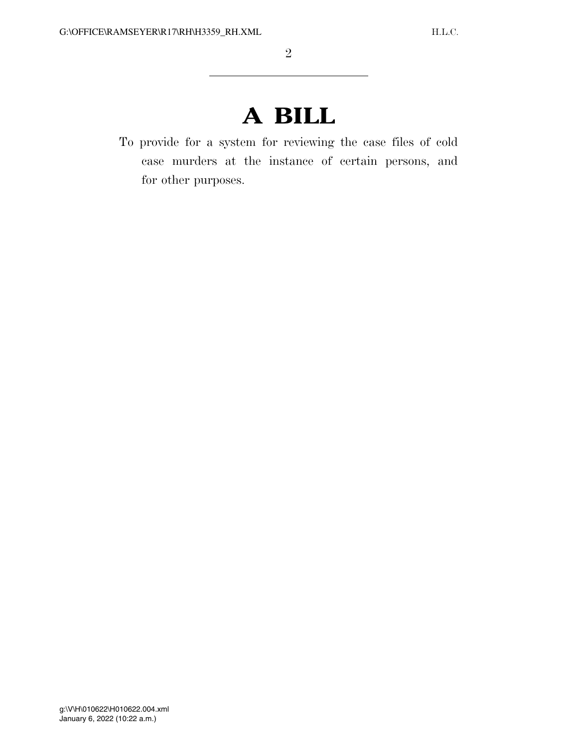# **A BILL**

To provide for a system for reviewing the case files of cold case murders at the instance of certain persons, and for other purposes.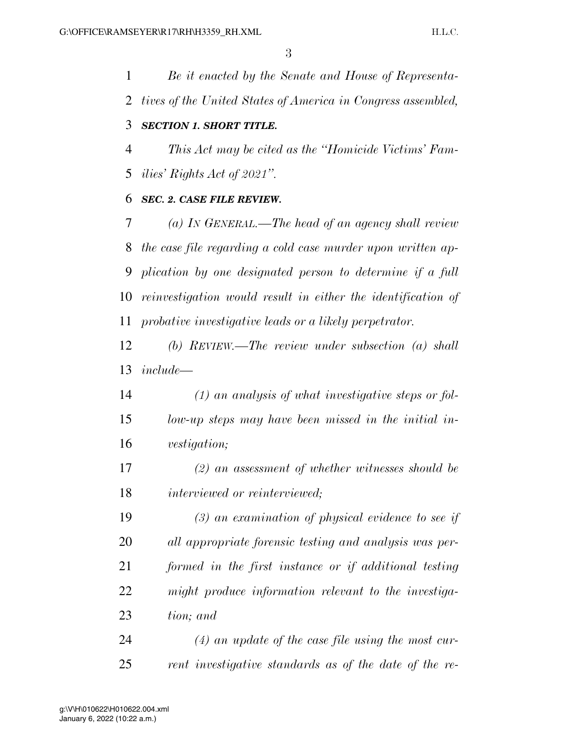*Be it enacted by the Senate and House of Representa- tives of the United States of America in Congress assembled, SECTION 1. SHORT TITLE. This Act may be cited as the ''Homicide Victims' Fam- ilies' Rights Act of 2021''. SEC. 2. CASE FILE REVIEW. (a) IN GENERAL.—The head of an agency shall review the case file regarding a cold case murder upon written ap- plication by one designated person to determine if a full reinvestigation would result in either the identification of probative investigative leads or a likely perpetrator. (b) REVIEW.—The review under subsection (a) shall include— (1) an analysis of what investigative steps or fol- low-up steps may have been missed in the initial in- vestigation; (2) an assessment of whether witnesses should be interviewed or reinterviewed; (3) an examination of physical evidence to see if* 

 *all appropriate forensic testing and analysis was per- formed in the first instance or if additional testing might produce information relevant to the investiga-tion; and* 

 *(4) an update of the case file using the most cur-rent investigative standards as of the date of the re-*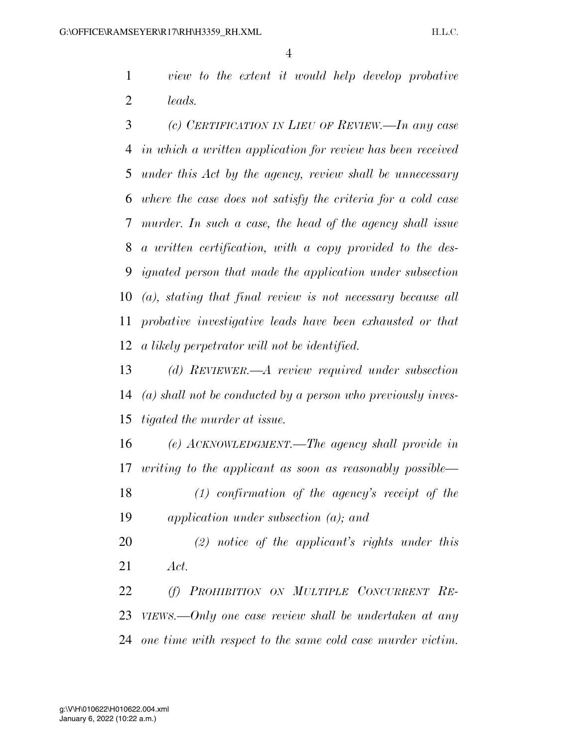*view to the extent it would help develop probative leads.* 

 *(c) CERTIFICATION IN LIEU OF REVIEW.—In any case in which a written application for review has been received under this Act by the agency, review shall be unnecessary where the case does not satisfy the criteria for a cold case murder. In such a case, the head of the agency shall issue a written certification, with a copy provided to the des- ignated person that made the application under subsection (a), stating that final review is not necessary because all probative investigative leads have been exhausted or that a likely perpetrator will not be identified.* 

 *(d) REVIEWER.—A review required under subsection (a) shall not be conducted by a person who previously inves-tigated the murder at issue.* 

 *(e) ACKNOWLEDGMENT.—The agency shall provide in writing to the applicant as soon as reasonably possible—* 

 *(1) confirmation of the agency's receipt of the application under subsection (a); and* 

 *(2) notice of the applicant's rights under this Act.* 

 *(f) PROHIBITION ON MULTIPLE CONCURRENT RE- VIEWS.—Only one case review shall be undertaken at any one time with respect to the same cold case murder victim.*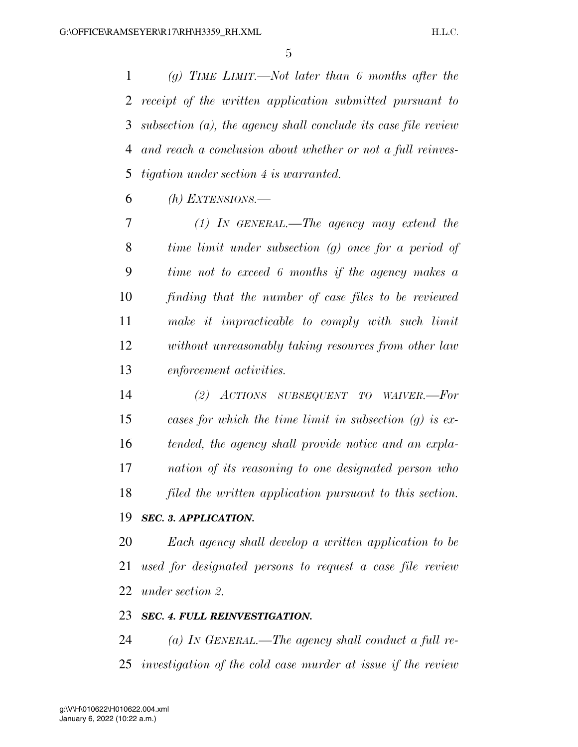*(g) TIME LIMIT.—Not later than 6 months after the receipt of the written application submitted pursuant to subsection (a), the agency shall conclude its case file review and reach a conclusion about whether or not a full reinves-tigation under section 4 is warranted.* 

*(h) EXTENSIONS.—* 

 *(1) IN GENERAL.—The agency may extend the time limit under subsection (g) once for a period of time not to exceed 6 months if the agency makes a finding that the number of case files to be reviewed make it impracticable to comply with such limit without unreasonably taking resources from other law enforcement activities.* 

 *(2) ACTIONS SUBSEQUENT TO WAIVER.—For cases for which the time limit in subsection (g) is ex- tended, the agency shall provide notice and an expla- nation of its reasoning to one designated person who filed the written application pursuant to this section.* 

### *SEC. 3. APPLICATION.*

 *Each agency shall develop a written application to be used for designated persons to request a case file review under section 2.* 

#### *SEC. 4. FULL REINVESTIGATION.*

 *(a) IN GENERAL.—The agency shall conduct a full re-investigation of the cold case murder at issue if the review*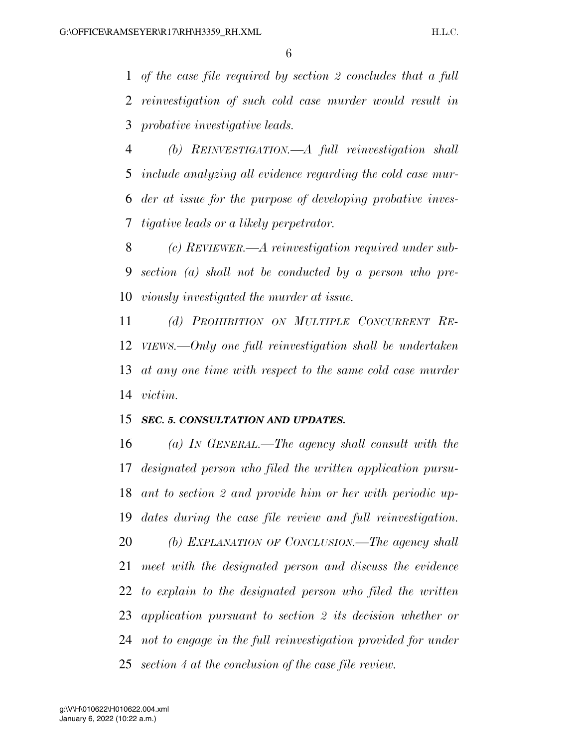*of the case file required by section 2 concludes that a full reinvestigation of such cold case murder would result in probative investigative leads.* 

 *(b) REINVESTIGATION.—A full reinvestigation shall include analyzing all evidence regarding the cold case mur- der at issue for the purpose of developing probative inves-tigative leads or a likely perpetrator.* 

 *(c) REVIEWER.—A reinvestigation required under sub- section (a) shall not be conducted by a person who pre-viously investigated the murder at issue.* 

 *(d) PROHIBITION ON MULTIPLE CONCURRENT RE- VIEWS.—Only one full reinvestigation shall be undertaken at any one time with respect to the same cold case murder victim.* 

#### *SEC. 5. CONSULTATION AND UPDATES.*

 *(a) IN GENERAL.—The agency shall consult with the designated person who filed the written application pursu- ant to section 2 and provide him or her with periodic up- dates during the case file review and full reinvestigation. (b) EXPLANATION OF CONCLUSION.—The agency shall meet with the designated person and discuss the evidence to explain to the designated person who filed the written application pursuant to section 2 its decision whether or not to engage in the full reinvestigation provided for under section 4 at the conclusion of the case file review.*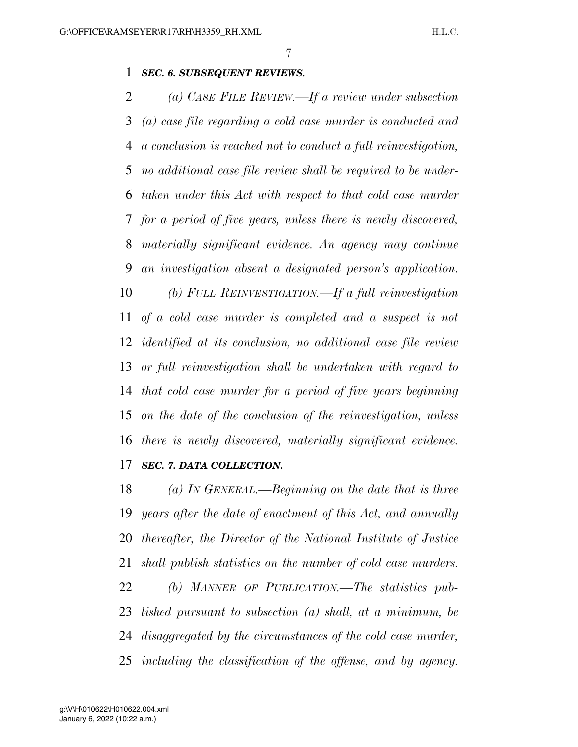#### *SEC. 6. SUBSEQUENT REVIEWS.*

 *(a) CASE FILE REVIEW.—If a review under subsection (a) case file regarding a cold case murder is conducted and a conclusion is reached not to conduct a full reinvestigation, no additional case file review shall be required to be under- taken under this Act with respect to that cold case murder for a period of five years, unless there is newly discovered, materially significant evidence. An agency may continue an investigation absent a designated person's application. (b) FULL REINVESTIGATION.—If a full reinvestigation of a cold case murder is completed and a suspect is not identified at its conclusion, no additional case file review or full reinvestigation shall be undertaken with regard to that cold case murder for a period of five years beginning on the date of the conclusion of the reinvestigation, unless there is newly discovered, materially significant evidence.* 

#### *SEC. 7. DATA COLLECTION.*

 *(a) IN GENERAL.—Beginning on the date that is three years after the date of enactment of this Act, and annually thereafter, the Director of the National Institute of Justice shall publish statistics on the number of cold case murders. (b) MANNER OF PUBLICATION.—The statistics pub- lished pursuant to subsection (a) shall, at a minimum, be disaggregated by the circumstances of the cold case murder, including the classification of the offense, and by agency.*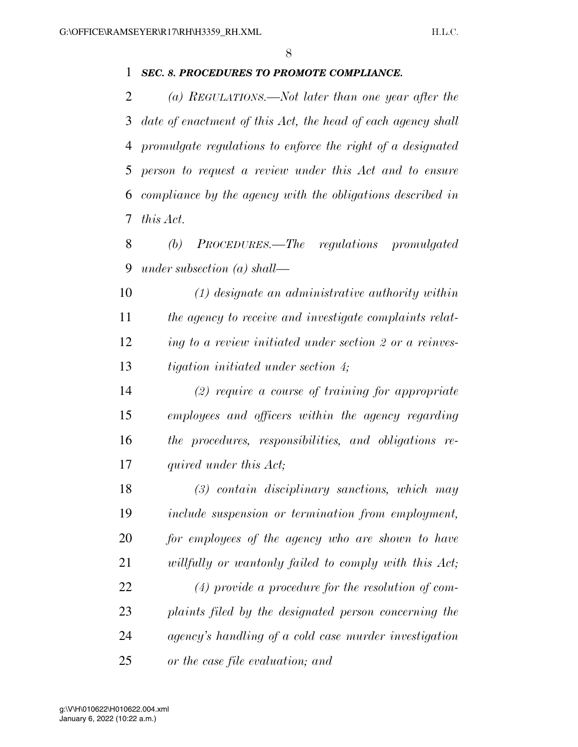#### *SEC. 8. PROCEDURES TO PROMOTE COMPLIANCE.*

 *(a) REGULATIONS.—Not later than one year after the date of enactment of this Act, the head of each agency shall promulgate regulations to enforce the right of a designated person to request a review under this Act and to ensure compliance by the agency with the obligations described in this Act.* 

 *(b) PROCEDURES.—The regulations promulgated under subsection (a) shall—* 

 *(1) designate an administrative authority within the agency to receive and investigate complaints relat- ing to a review initiated under section 2 or a reinves-tigation initiated under section 4;* 

 *(2) require a course of training for appropriate employees and officers within the agency regarding the procedures, responsibilities, and obligations re-quired under this Act;* 

 *(3) contain disciplinary sanctions, which may include suspension or termination from employment, for employees of the agency who are shown to have willfully or wantonly failed to comply with this Act; (4) provide a procedure for the resolution of com- plaints filed by the designated person concerning the agency's handling of a cold case murder investigation or the case file evaluation; and*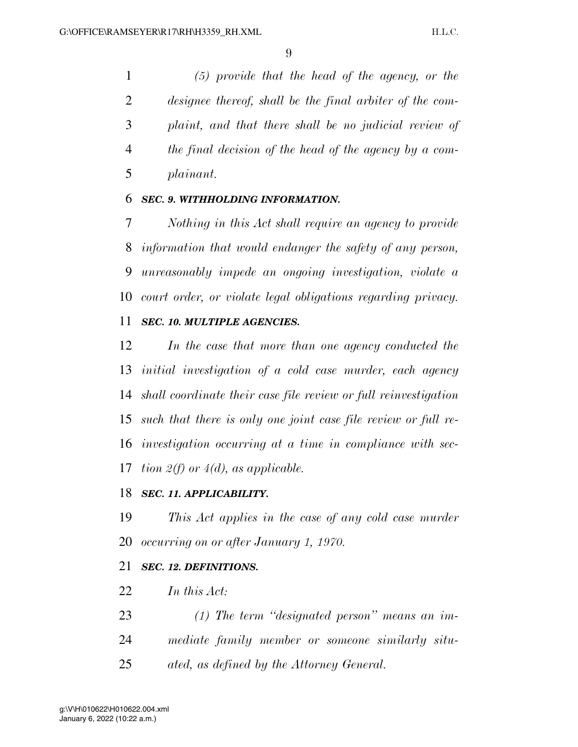*(5) provide that the head of the agency, or the designee thereof, shall be the final arbiter of the com- plaint, and that there shall be no judicial review of the final decision of the head of the agency by a com-plainant.* 

#### *SEC. 9. WITHHOLDING INFORMATION.*

 *Nothing in this Act shall require an agency to provide information that would endanger the safety of any person, unreasonably impede an ongoing investigation, violate a court order, or violate legal obligations regarding privacy. SEC. 10. MULTIPLE AGENCIES.* 

## *In the case that more than one agency conducted the initial investigation of a cold case murder, each agency shall coordinate their case file review or full reinvestigation such that there is only one joint case file review or full re- investigation occurring at a time in compliance with sec-tion 2(f) or 4(d), as applicable.*

#### *SEC. 11. APPLICABILITY.*

 *This Act applies in the case of any cold case murder occurring on or after January 1, 1970.* 

#### *SEC. 12. DEFINITIONS.*

- *In this Act:*
- *(1) The term ''designated person'' means an im-*
- *mediate family member or someone similarly situ-*
- *ated, as defined by the Attorney General.*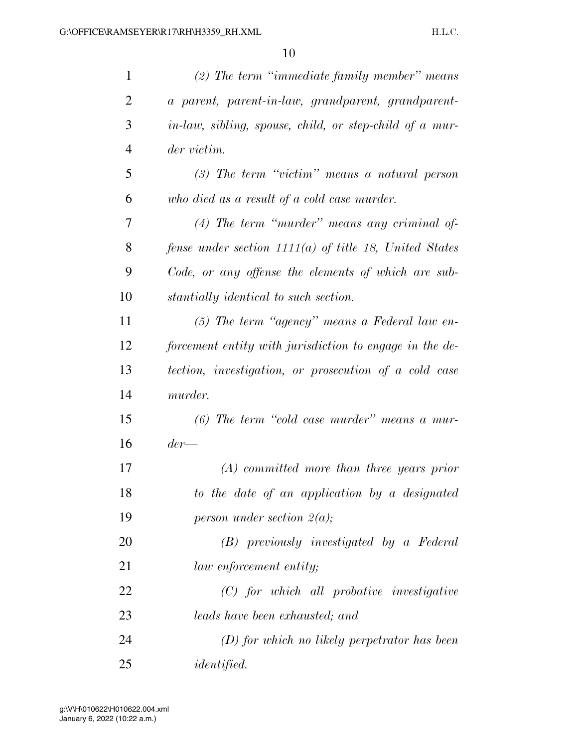| $\mathbf{1}$   | $(2)$ The term "immediate family member" means           |
|----------------|----------------------------------------------------------|
| $\overline{2}$ | a parent, parent-in-law, grandparent, grandparent-       |
| 3              | in-law, sibling, spouse, child, or step-child of a mur-  |
| $\overline{4}$ | der victim.                                              |
| 5              | $(3)$ The term "victim" means a natural person           |
| 6              | who died as a result of a cold case murder.              |
| 7              | $(4)$ The term "murder" means any criminal of-           |
| 8              | fense under section $1111(a)$ of title 18, United States |
| 9              | Code, or any offense the elements of which are sub-      |
| 10             | stantially identical to such section.                    |
| 11             | $(5)$ The term "agency" means a Federal law en-          |
| 12             | forcement entity with jurisdiction to engage in the de-  |
| 13             | tection, investigation, or prosecution of a cold case    |
| 14             | murder.                                                  |
| 15             | $(6)$ The term "cold case murder" means a mur-           |
| 16             | $der-$                                                   |
| 17             | $(A)$ committed more than three years prior              |
| 18             | to the date of an application by a designated            |
| 19             | person under section $2(a)$ ;                            |
| 20             | (B) previously investigated by a Federal                 |
| 21             | law enforcement entity;                                  |
| 22             | $(C)$ for which all probative investigative              |
| 23             | <i>leads have been exhausted; and</i>                    |
| 24             | $(D)$ for which no likely perpetrator has been           |
| 25             | <i>identified.</i>                                       |